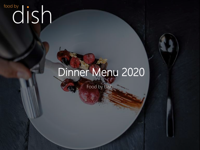# **Food by** cod by cod by cod by the set of  $\log n$

## Dinner Menu 2020

Food by Dish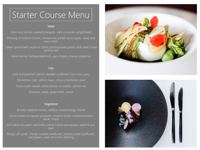## Starter Course Menu

## **Meat**

Ham hock terrine, roasted pineapple, chilli, coriander, gingerbread

Pressing of smoked chicken, chicken liver parfait, burnt apple, sweet and sour radish

Zataar spiced beef carpaccio, tahini, pomegranate glazed sticky beef, crispy parsnip skin

Game terrine, heritage beetroots, pain d'epice, charred grapefruit

### **Fish**

Lime leaf poached salmon, jeweled cauliflower cous-cous, yuzu Devonshire crab, saffron mayo, citrus cured fennel, pear Trout crudo, wasabi crème fraiche, cucumber, salmon roe Mackerel, salsify, grape relish, vanilla

### Vegetarian

Burrata, beetroot tartare, raddicio, blood orange, fennel Spiced butternut squash gazpacho, smoked ricotta, toasted pumpkin seeds, maple Salt baked Jerusalem artichokes, crème fraiche pannacotta, sweet & sour pear Rosary ash goats' cheese, roasted cauliflower, pickled purple cauliflower, red grapes, caper and raisin dressing



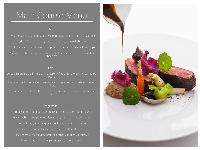## Main Course Menu

#### Meat

Lamb rump, shoulder croquette, whipped goats curd, charred leeks, truffle Glazed beef short rib, baby parsnips, black cabbage, baby onions Poached chicken breast, mini Kiev, sprouting broccoli, kohlrabi, turnip tops Venison eye fillet, Bolognese, heritage beetroot, pickled blackberries, dark chocolate

## **Fish**

Cured salmon fillet, dill and cream cheese stuffed artichoke, sea herbs, monks' beard Sea bream, wild mushroom orzo, seaweed, caper and brown shrimp beurre noisette Brown butter poached halibut, confit celeriac, hazelnut pesto, chive beurre blanc

## Vegetarian

Wild mushroom and goats curd pithivier, charred leeks, potato puree Black cabbage and pecorino donut, baby parsnips, roasted shallot Hazelnut roast, sprouting broccoli, kohlrabi, shaved chestnut Heritage beetroot wellington, purple kale, pickled blackberries Black bomber cheese doughnut, red quinoa, truffled cauliflower Miso glazed aubergine, pickled plums, kombu dashi.